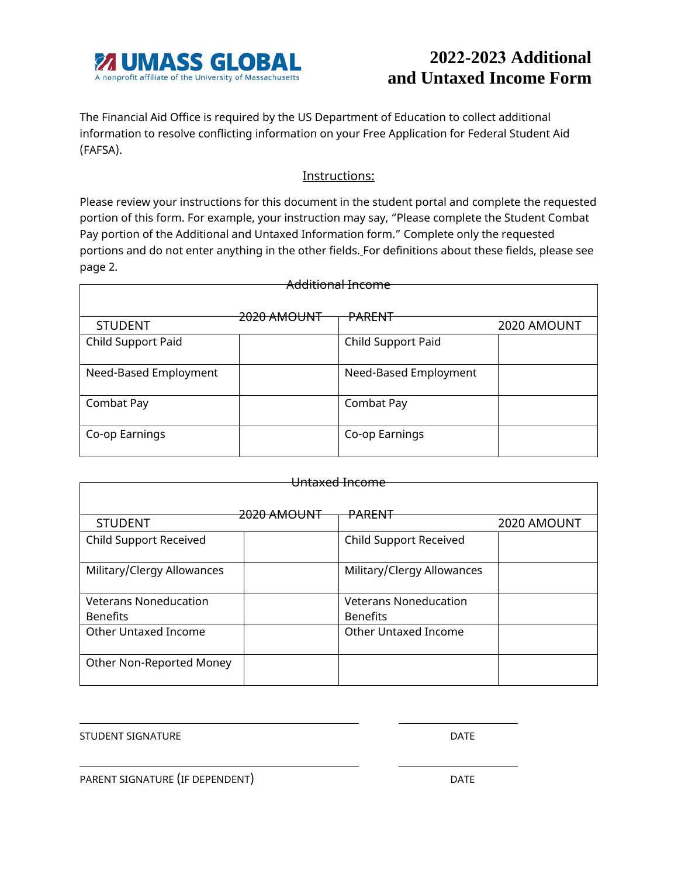

## **2022-2023 Additional and Untaxed Income Form**

The Financial Aid Office is required by the US Department of Education to collect additional information to resolve conflicting information on your Free Application for Federal Student Aid (FAFSA).

## Instructions:

Please review your instructions for this document in the student portal and complete the requested portion of this form. For example, your instruction may say, "Please complete the Student Combat Pay portion of the Additional and Untaxed Information form." Complete only the requested portions and do not enter anything in the other fields. For definitions about these fields, please see page 2.

|  |                        | 2020 AMOUNT                                                  |  |
|--|------------------------|--------------------------------------------------------------|--|
|  |                        |                                                              |  |
|  |                        |                                                              |  |
|  | Need-Based Employment  |                                                              |  |
|  |                        |                                                              |  |
|  | Combat Pay             |                                                              |  |
|  |                        |                                                              |  |
|  | Co-op Earnings         |                                                              |  |
|  |                        |                                                              |  |
|  | <del>2020 AMOUNT</del> | <del>Additional Income</del><br>PARENT<br>Child Support Paid |  |

| <del>Hntaxed Income</del>     |                        |                               |             |  |
|-------------------------------|------------------------|-------------------------------|-------------|--|
|                               |                        |                               |             |  |
|                               |                        |                               |             |  |
|                               | <del>2020 AMOUNT</del> | <del>PARFNT</del>             |             |  |
| <b>STUDENT</b>                |                        |                               | 2020 AMOUNT |  |
| <b>Child Support Received</b> |                        | <b>Child Support Received</b> |             |  |
|                               |                        |                               |             |  |
| Military/Clergy Allowances    |                        | Military/Clergy Allowances    |             |  |
|                               |                        |                               |             |  |
| <b>Veterans Noneducation</b>  |                        | <b>Veterans Noneducation</b>  |             |  |
| <b>Benefits</b>               |                        | <b>Benefits</b>               |             |  |
| Other Untaxed Income          |                        | Other Untaxed Income          |             |  |
|                               |                        |                               |             |  |
| Other Non-Reported Money      |                        |                               |             |  |
|                               |                        |                               |             |  |

STUDENT SIGNATURE **External of the STUDENT SIGNATURE** 

PARENT SIGNATURE (IF DEPENDENT) DATE